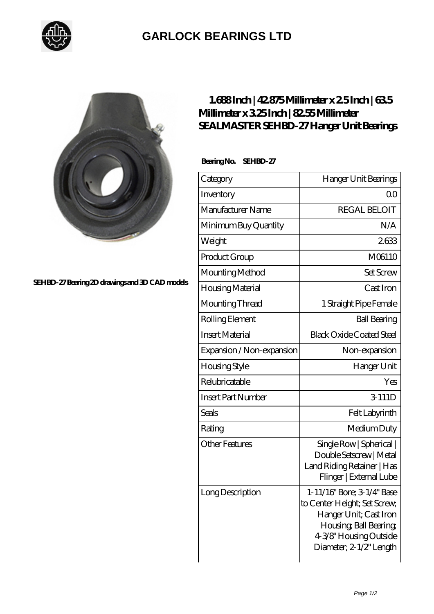

## **[GARLOCK BEARINGS LTD](https://m.letterstopriests.com)**



**[SEHBD-27 Bearing 2D drawings and 3D CAD models](https://m.letterstopriests.com/pic-189057.html)**

## **[1.688 Inch | 42.875 Millimeter x 2.5 Inch | 63.5](https://m.letterstopriests.com/bs-189057-sealmaster-sehbd-27-hanger-unit-bearings.html) [Millimeter x 3.25 Inch | 82.55 Millimeter](https://m.letterstopriests.com/bs-189057-sealmaster-sehbd-27-hanger-unit-bearings.html) [SEALMASTER SEHBD-27 Hanger Unit Bearings](https://m.letterstopriests.com/bs-189057-sealmaster-sehbd-27-hanger-unit-bearings.html)**

 **Bearing No. SEHBD-27**

| Category                  | Hanger Unit Bearings                                                                                                                                                |
|---------------------------|---------------------------------------------------------------------------------------------------------------------------------------------------------------------|
| Inventory                 | Q0                                                                                                                                                                  |
| Manufacturer Name         | <b>REGAL BELOIT</b>                                                                                                                                                 |
| Minimum Buy Quantity      | N/A                                                                                                                                                                 |
| Weight                    | 2633                                                                                                                                                                |
| Product Group             | M06110                                                                                                                                                              |
| Mounting Method           | <b>Set Screw</b>                                                                                                                                                    |
| Housing Material          | Cast Iron                                                                                                                                                           |
| Mounting Thread           | 1 Straight Pipe Female                                                                                                                                              |
| Rolling Element           | <b>Ball Bearing</b>                                                                                                                                                 |
| <b>Insert Material</b>    | <b>Black Oxide Coated Steel</b>                                                                                                                                     |
| Expansion / Non-expansion | Non-expansion                                                                                                                                                       |
| <b>Housing Style</b>      | Hanger Unit                                                                                                                                                         |
| Relubricatable            | Yes                                                                                                                                                                 |
| <b>Insert Part Number</b> | 3-111D                                                                                                                                                              |
| Seals                     | Felt Labyrinth                                                                                                                                                      |
| Rating                    | Medium Duty                                                                                                                                                         |
| <b>Other Features</b>     | Single Row   Spherical  <br>Double Setscrew   Metal<br>Land Riding Retainer   Has<br>Flinger   External Lube                                                        |
| Long Description          | 1-11/16" Bore; 3-1/4" Base<br>to Center Height; Set Screw,<br>Hanger Unit; Cast Iron<br>Housing, Ball Bearing,<br>4-3/8" Housing Outside<br>Diameter; 2-1/2" Length |